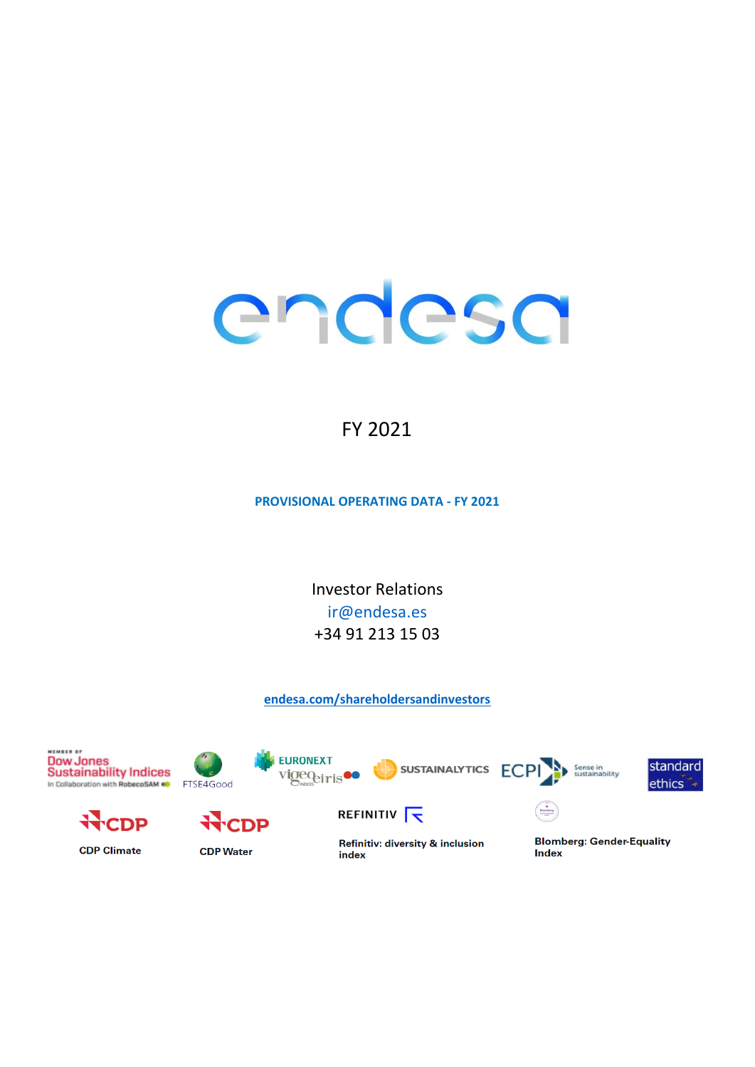# endesa

# FY 2021

**PROVISIONAL OPERATING DATA - FY 2021** 

**Investor Relations** ir@endesa.es +34 91 213 15 03

endesa.com/shareholdersandinvestors

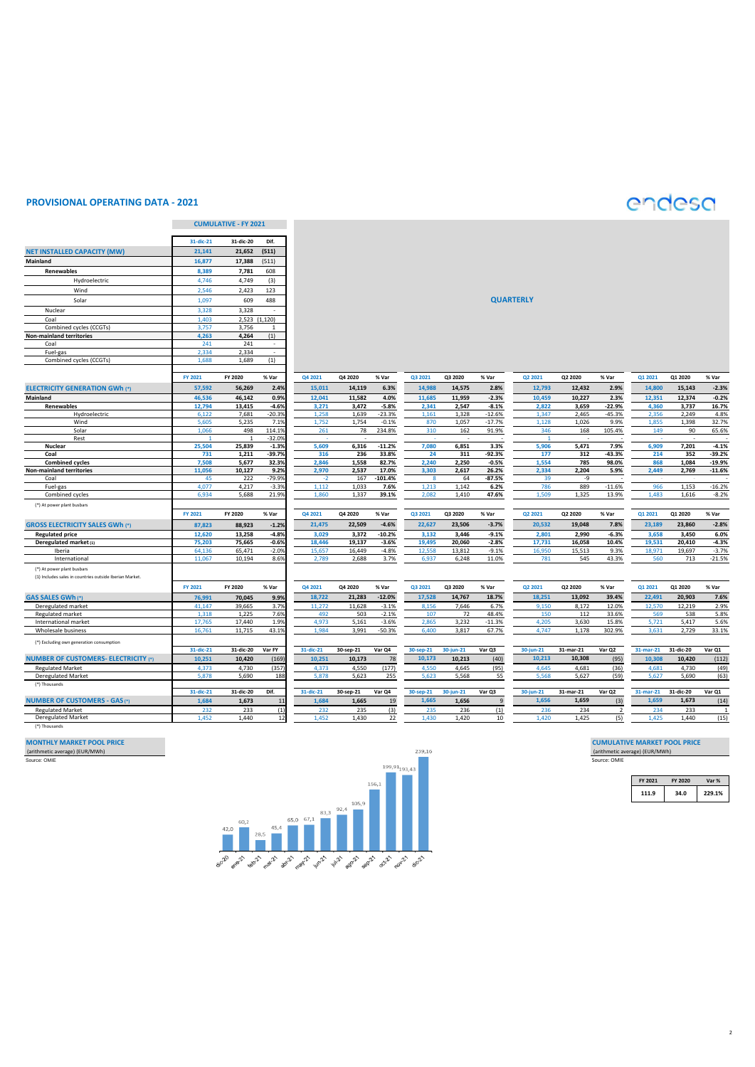## **PROVISIONAL OPERATING DATA - 2021**

# endesa

|                                                         |                  | <b>CUMULATIVE - FY 2021</b> |                    |                 |                 |                     |                 |                 |                    |                  |                 |                         |                 |                 |                      |
|---------------------------------------------------------|------------------|-----------------------------|--------------------|-----------------|-----------------|---------------------|-----------------|-----------------|--------------------|------------------|-----------------|-------------------------|-----------------|-----------------|----------------------|
|                                                         | 31-dic-21        | 31-dic-20                   | Dif.               |                 |                 |                     |                 |                 |                    |                  |                 |                         |                 |                 |                      |
| <b>NET INSTALLED CAPACITY (MW)</b>                      | 21,141           | 21,652                      | (511)              |                 |                 |                     |                 |                 |                    |                  |                 |                         |                 |                 |                      |
| Mainland                                                | 16,877           | 17,388                      | (511)              |                 |                 |                     |                 |                 |                    |                  |                 |                         |                 |                 |                      |
| Renewables                                              | 8,389            | 7,781                       | 608                |                 |                 |                     |                 |                 |                    |                  |                 |                         |                 |                 |                      |
| Hydroelectric                                           | 4,746            | 4,749                       | (3)                |                 |                 |                     |                 |                 |                    |                  |                 |                         |                 |                 |                      |
| Wind                                                    | 2,546            | 2,423                       | 123                |                 |                 |                     |                 |                 |                    |                  |                 |                         |                 |                 |                      |
|                                                         |                  | 609                         | 488                |                 |                 |                     |                 |                 |                    |                  |                 |                         |                 |                 |                      |
| Solar                                                   | 1,097            |                             |                    |                 |                 |                     |                 |                 |                    | <b>QUARTERLY</b> |                 |                         |                 |                 |                      |
| Nuclear                                                 | 3,328            | 3,328                       | ÷.                 |                 |                 |                     |                 |                 |                    |                  |                 |                         |                 |                 |                      |
| Coal                                                    | 1,403            | 2,523                       | (1, 120)           |                 |                 |                     |                 |                 |                    |                  |                 |                         |                 |                 |                      |
| Combined cycles (CCGTs)<br>Non-mainland territories     | 3.757<br>4,263   | 3.756<br>4,264              | 1<br>(1)           |                 |                 |                     |                 |                 |                    |                  |                 |                         |                 |                 |                      |
| Coal                                                    | 241              | 241                         | $\sim$             |                 |                 |                     |                 |                 |                    |                  |                 |                         |                 |                 |                      |
| Fuel-gas                                                | 2.334            | 2,334                       | $\blacksquare$     |                 |                 |                     |                 |                 |                    |                  |                 |                         |                 |                 |                      |
| Combined cycles (CCGTs)                                 | 1,688            | 1,689                       | (1)                |                 |                 |                     |                 |                 |                    |                  |                 |                         |                 |                 |                      |
|                                                         |                  |                             |                    |                 |                 |                     |                 |                 |                    |                  |                 |                         |                 |                 |                      |
|                                                         | FY 2021          | FY 2020                     | % Var              | Q4 2021         | Q4 2020         | % Var               | Q3 2021         | Q3 2020         | % Var              | Q2 2021          | Q2 2020         | % Var                   | Q1 2021         | Q1 2020         | % Var                |
| <b>ELECTRICITY GENERATION GWh (*)</b>                   | 57,592           | 56,269                      | 2.49               | 15,011          | 14,119          | 6.3%                | 14,988          | 14,575          | 2.8%               | 12,793           | 12,432          | 2.9%                    | 14,800          | 15,143          | $-2.3%$              |
| Mainland                                                | 46.536           | 46.142                      | 0.9%               | 12.041          | 11.582          | 4.0%                | 11.685          | 11.959          | $-2.3%$            | 10,459           | 10.227          | 2.3%                    | 12.351          | 12.374          | $-0.2%$              |
| Renewables                                              | 12,794           | 13,415                      | $-4.6%$            | 3,271           | 3,472           | $-5.8%$             | 2,341           | 2,547           | $-8.1%$            | 2,822            | 3,659           | $-22.9%$                | 4,360           | 3,737           | 16.7%                |
| Hydroelectric                                           | 6,122            | 7,681                       | $-20.39$           | 1.258           | 1,639           | $-23.3%$            | 1,161           | 1,328           | $-12.6%$           | 1.347            | 2,465           | $-45.3%$                | 2.356           | 2,249           | 4.8%                 |
| Wind                                                    | 5,605            | 5,235                       | 7.19               | 1,752           | 1,754           | $-0.1%$             | 870             | 1,057           | $-17.7%$           | 1,128            | 1,026           | 9.9%                    | 1,855           | 1,398           | 32.7%                |
| Solar                                                   | 1,066            | 498                         | 114.19             | 261             | 78              | 234.8%              | 310             | 162             | 91.9%              | 346              | 168             | 105.4%                  | 149             | 90              | 65.6%                |
| Rest                                                    |                  |                             | $-32.09$           |                 |                 |                     |                 |                 |                    | $\overline{1}$   |                 |                         |                 |                 |                      |
| Nuclear                                                 | 25,504           | 25,839                      | $-1.39$            | 5,609           | 6,316           | $-11.2%$            | 7,080           | 6,851           | 3.3%               | 5,906            | 5,471           | 7.9%                    | 6,909           | 7,201           | $-4.1%$              |
| Coal                                                    | 731              | 1,211                       | $-39.79$<br>32.39  | 316<br>2,846    | 236             | 33.8%               | 24<br>2,240     | 311             | $-92.3%$           | 177<br>1,554     | 312<br>785      | $-43.3%$                | 214<br>868      | 352             | $-39.2%$<br>$-19.9%$ |
| <b>Combined cycles</b><br>Non-mainland territories      | 7,508<br>11,056  | 5,677<br>10,127             | 9.2%               | 2,970           | 1,558<br>2,537  | 82.7%<br>17.0%      | 3,303           | 2,250<br>2,617  | $-0.5%$<br>26.2%   | 2,334            | 2,204           | 98.0%<br>5.9%           | 2,449           | 1,084<br>2,769  | $-11.6%$             |
| Coal                                                    | 45               | 222                         | $-79.99$           | $-2$            | 167             | $-101.4%$           | $\mathbf{8}$    | 64              | $-87.5%$           | 39               | -9              |                         |                 |                 |                      |
| Fuel-gas                                                | 4,077            | 4,217                       | $-3.39$            | 1,112           | 1,033           | 7.6%                | 1,213           | 1,142           | 6.2%               | 786              | 889             | $-11.6%$                | 966             | 1,153           | $-16.2%$             |
| Combined cycles                                         | 6.934            | 5,688                       | 21.99              | 1.860           | 1,337           | 39.1%               | 2.082           | 1,410           | 47.6%              | 1.509            | 1,325           | 13.9%                   | 1.483           | 1,616           | $-8.2%$              |
| (*) At power plant busbars                              |                  |                             |                    |                 |                 |                     |                 |                 |                    |                  |                 |                         |                 |                 |                      |
|                                                         | FY 2021          | FY 2020                     | % Var              | Q4 2021         | Q4 2020         | % Var               | Q3 2021         | Q3 2020         | % Var              | Q2 2021          | Q2 2020         | % Var                   | Q1 2021         | Q1 2020         | % Var                |
|                                                         |                  | 88.923                      |                    | 21.475          | 22.509          | $-4.6%$             | 22.627          |                 | $-3.7%$            |                  |                 | 7.8%                    |                 |                 |                      |
| <b>GROSS ELECTRICITY SALES GWh (*)</b>                  | 87,823           |                             | $-1.29$            |                 |                 |                     |                 | 23,506          |                    | 20,532           | 19,048          |                         | 23,189          | 23,860          | $-2.8%$              |
| <b>Regulated price</b>                                  | 12,620<br>75,203 | 13,258                      | $-4.8%$<br>$-0.6%$ | 3,029<br>18,446 | 3,372<br>19,137 | $-10.2%$<br>$-3.6%$ | 3,132<br>19,495 | 3,446<br>20,060 | $-9.1%$<br>$-2.8%$ | 2,801<br>17,731  | 2,990<br>16,058 | $-6.3%$<br>10.4%        | 3,658<br>19,531 | 3,450<br>20,410 | 6.0%<br>$-4.3%$      |
| Deregulated market (1)<br>Iberia                        | 64,136           | 75,665<br>65,471            | $-2.0%$            | 15,657          | 16,449          | $-4.8%$             | 12.558          | 13,812          | $-9.1%$            | 16,950           | 15,513          | 9.3%                    | 18,971          | 19,697          | $-3.7%$              |
| International                                           | 11,067           | 10,194                      | 8.69               | 2,789           | 2,688           | 3.7%                | 6,937           | 6,248           | 11.0%              | 781              | 545             | 43.3%                   | 560             | 713             | $-21.5%$             |
| (*) At power plant busbars                              |                  |                             |                    |                 |                 |                     |                 |                 |                    |                  |                 |                         |                 |                 |                      |
| (1) Includes sales in countries outside Iberian Market. |                  |                             |                    |                 |                 |                     |                 |                 |                    |                  |                 |                         |                 |                 |                      |
|                                                         |                  | FY 2020                     |                    | Q4 2021         | Q4 2020         | % Var               | Q3 2021         | Q3 2020         |                    | Q2 2021          | Q2 2020         |                         | Q1 2021         | Q1 2020         | % Var                |
|                                                         | FY 2021          |                             | % Var              |                 |                 |                     |                 |                 | % Var              |                  |                 | % Var                   | 22.491          |                 |                      |
| <b>GAS SALES GWh (*)</b>                                | 76,991           | 70,045                      | 9.9%               | 18,722          | 21,283          | $-12.0%$            | 17,528          | 14,767          | 18.7%              | 18,251           | 13,092          | 39.4%                   |                 | 20,903          | 7.6%                 |
| Deregulated market<br><b>Regulated market</b>           | 41,147<br>1,318  | 39,665<br>1,225             | 3.79<br>7.6%       | 11,272<br>492   | 11,628<br>503   | $-3.1%$<br>$-2.1%$  | 8,156<br>107    | 7,646<br>72     | 6.7%<br>48.4%      | 9,150<br>150     | 8,172<br>112    | 12.0%<br>33.6%          | 12,570<br>569   | 12,219<br>538   | 2.9%<br>5.8%         |
| International market                                    | 17,765           | 17,440                      | 1.9%               | 4,973           | 5,161           | $-3.6%$             | 2.865           | 3,232           | $-11.3%$           | 4,205            | 3,630           | 15.8%                   | 5,721           | 5,417           | 5.6%                 |
| Wholesale business                                      | 16.761           | 11,715                      | 43.19              | 1.984           | 3,991           | $-50.3%$            | 6,400           | 3,817           | 67.7%              | 4.747            | 1,178           | 302.9%                  | 3.631           | 2,729           | 33.1%                |
|                                                         |                  |                             |                    |                 |                 |                     |                 |                 |                    |                  |                 |                         |                 |                 |                      |
| (*) Excluding own generation consumption                | 31-dic-21        | 31-dic-20                   | Var FY             | 31-dic-21       | 30-sep-21       | Var Q4              | 30-sep-21       | 30-jun-21       | Var Q3             | $30$ -jun-21     | 31-mar-21       | Var Q2                  | $31$ -mar-21    | 31-dic-20       | Var Q1               |
| <b>NUMBER OF CUSTOMERS- ELECTRICITY (*)</b>             | 10,251           | 10,420                      | (169)              | 10,251          | 10,173          | 78                  | 10.173          | 10,213          | (40)               | 10,213           | 10.308          | (95)                    | 10,308          | 10,420          | (112)                |
|                                                         |                  |                             |                    |                 |                 |                     |                 |                 |                    |                  |                 |                         |                 |                 |                      |
| <b>Regulated Market</b><br><b>Deregulated Market</b>    | 4,373<br>5.878   | 4,730<br>5,690              | (357)<br>188       | 4,373<br>5.878  | 4,550<br>5,623  | (177)<br>255        | 4,550<br>5.623  | 4,645<br>5,568  | (95)<br>55         | 4,645<br>5,568   | 4,681<br>5,627  | (36)<br>(59)            | 4,681<br>5.627  | 4,730<br>5,690  | (49)<br>(63)         |
| (*) Thousands                                           |                  |                             |                    |                 |                 |                     |                 |                 |                    |                  |                 |                         |                 |                 |                      |
|                                                         | 31-dic-21        | 31-dic-20                   | Dif.               | 31-dic-21       | 30-sep-21       | Var Q4              | 30-sep-21       | $30$ -jun-21    | Var Q3             | $30$ -jun-21     | 31-mar-21       | Var Q2                  | $31$ -mar-21    | 31-dic-20       | Var Q1               |
| <b>NUMBER OF CUSTOMERS - GAS (*)</b>                    | 1.684            | 1,673                       | 11                 | 1.684           | 1,665           | 19                  | 1,665           | 1,656           | $\mathbf{q}$       | 1,656            | 1,659           | (3)                     | 1,659           | 1,673           | (14)                 |
| <b>Regulated Market</b>                                 | 232              | 233                         | (1)                | 232             | 235             | (3)                 | 235             | 236             | (1)                | 236              | 234             | $\overline{\mathbf{2}}$ | 234             | 233             | $\mathbf{1}$         |
| Deregulated Market                                      | 1.452            | 1,440                       | 12                 | 1.452           | 1,430           | 22                  | 1,430           | 1,420           | 10                 | 1,420            | 1.425           | (5)                     | 1,425           | 1.440           | (15)                 |
| (*) Thousands                                           |                  |                             |                    |                 |                 |                     |                 |                 |                    |                  |                 |                         |                 |                 |                      |
|                                                         |                  |                             |                    |                 |                 |                     |                 |                 |                    |                  |                 |                         |                 |                 |                      |
|                                                         |                  |                             |                    |                 |                 |                     |                 |                 |                    |                  |                 |                         |                 |                 |                      |



| FY 2021 | FY 2020 | Var %  |  |  |
|---------|---------|--------|--|--|
| 1119    | 34.0    | 229.1% |  |  |